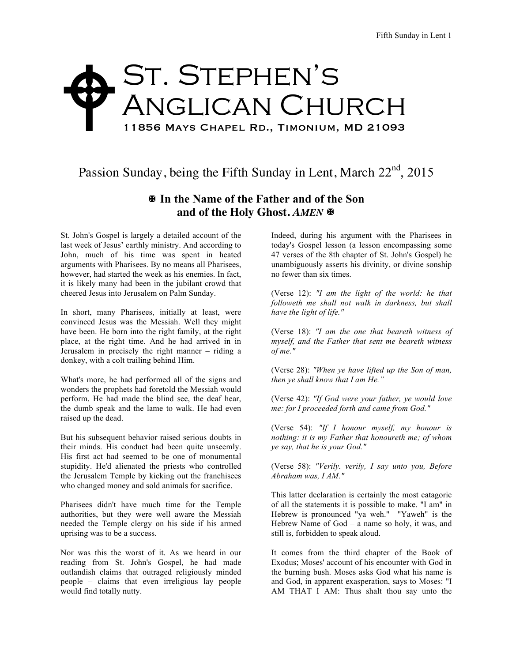## ST. STEPHEN'S Anglican Church 11856 Mays Chapel Rd., Timonium, MD 21093  $\blacklozenge$

## Passion Sunday, being the Fifth Sunday in Lent, March 22<sup>nd</sup>, 2015

## X **In the Name of the Father and of the Son** and of the Holy Ghost. AMEN  $\blacksquare$

St. John's Gospel is largely a detailed account of the last week of Jesus' earthly ministry. And according to John, much of his time was spent in heated arguments with Pharisees. By no means all Pharisees, however, had started the week as his enemies. In fact, it is likely many had been in the jubilant crowd that cheered Jesus into Jerusalem on Palm Sunday.

In short, many Pharisees, initially at least, were convinced Jesus was the Messiah. Well they might have been. He born into the right family, at the right place, at the right time. And he had arrived in in Jerusalem in precisely the right manner – riding a donkey, with a colt trailing behind Him.

What's more, he had performed all of the signs and wonders the prophets had foretold the Messiah would perform. He had made the blind see, the deaf hear, the dumb speak and the lame to walk. He had even raised up the dead.

But his subsequent behavior raised serious doubts in their minds. His conduct had been quite unseemly. His first act had seemed to be one of monumental stupidity. He'd alienated the priests who controlled the Jerusalem Temple by kicking out the franchisees who changed money and sold animals for sacrifice.

Pharisees didn't have much time for the Temple authorities, but they were well aware the Messiah needed the Temple clergy on his side if his armed uprising was to be a success.

Nor was this the worst of it. As we heard in our reading from St. John's Gospel, he had made outlandish claims that outraged religiously minded people – claims that even irreligious lay people would find totally nutty.

Indeed, during his argument with the Pharisees in today's Gospel lesson (a lesson encompassing some 47 verses of the 8th chapter of St. John's Gospel) he unambiguously asserts his divinity, or divine sonship no fewer than six times.

(Verse 12): *"I am the light of the world: he that followeth me shall not walk in darkness, but shall have the light of life."* 

(Verse 18): *"I am the one that beareth witness of myself, and the Father that sent me beareth witness of me."*

(Verse 28): *"When ye have lifted up the Son of man, then ye shall know that I am He."*

(Verse 42): *"If God were your father, ye would love me: for I proceeded forth and came from God."*

(Verse 54): *"If I honour myself, my honour is nothing: it is my Father that honoureth me; of whom ye say, that he is your God."*

(Verse 58): *"Verily. verily, I say unto you, Before Abraham was, I AM."*

This latter declaration is certainly the most catagoric of all the statements it is possible to make. "I am" in Hebrew is pronounced "ya weh." "Yaweh" is the Hebrew Name of God – a name so holy, it was, and still is, forbidden to speak aloud.

It comes from the third chapter of the Book of Exodus; Moses' account of his encounter with God in the burning bush. Moses asks God what his name is and God, in apparent exasperation, says to Moses: "I AM THAT I AM: Thus shalt thou say unto the